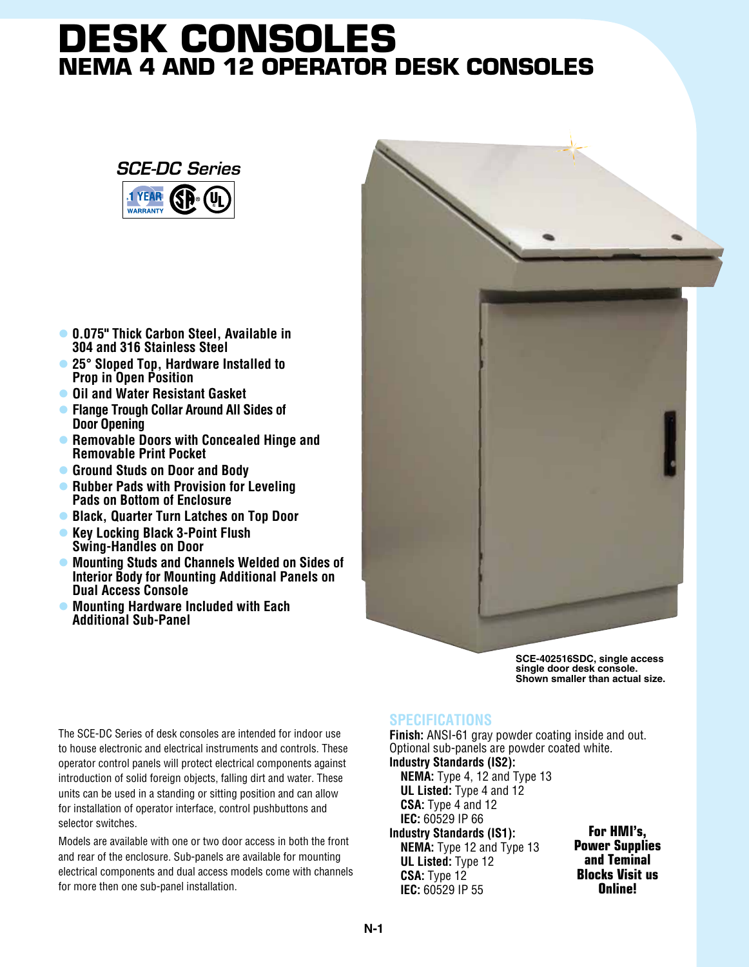## **Desk Consoles NEMA 4 and 12 Operator DeSk Consoles**



- l **0.075" Thick Carbon Steel, Available in 304 and 316 Stainless Steel**
- l **25° Sloped Top, Hardware Installed to Prop in Open Position**
- **Oil and Water Resistant Gasket**
- l **Flange Trough Collar Around All Sides of Door Opening**
- **Removable Doors with Concealed Hinge and Removable Print Pocket**
- **C** Ground Studs on Door and Body
- **Rubber Pads with Provision for Leveling Pads on Bottom of Enclosure**
- **Black, Quarter Turn Latches on Top Door**
- **Key Locking Black 3-Point Flush Swing-Handles on Door**
- **Mounting Studs and Channels Welded on Sides of Interior Body for Mounting Additional Panels on Dual Access Console**
- l **Mounting Hardware Included with Each Additional Sub-Panel**

**SCE-402516SDC, single access single door desk console. Shown smaller than actual size.**

The SCE-DC Series of desk consoles are intended for indoor use to house electronic and electrical instruments and controls. These operator control panels will protect electrical components against introduction of solid foreign objects, falling dirt and water. These units can be used in a standing or sitting position and can allow for installation of operator interface, control pushbuttons and selector switches.

Models are available with one or two door access in both the front and rear of the enclosure. Sub-panels are available for mounting electrical components and dual access models come with channels for more then one sub-panel installation.

## **SPECIFICATIONS**

**Finish:** ANSI-61 gray powder coating inside and out. Optional sub-panels are powder coated white. **Industry Standards (IS2): NEMA:** Type 4, 12 and Type 13 **UL Listed:** Type 4 and 12 **CSA:** Type 4 and 12 **IEC:** 60529 IP 66

**Industry Standards (IS1): NEMA:** Type 12 and Type 13 **UL Listed:** Type 12 **CSA:** Type 12 **IEC:** 60529 IP 55

**For HMI's, Power Supplies and Teminal Blocks Visit us Online!**